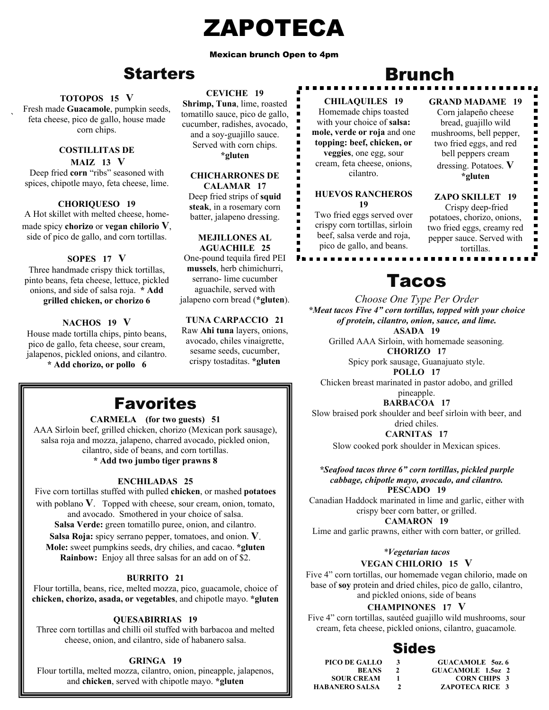## ZAPOTECA

#### Mexican brunch Open to 4pm

 $\blacksquare$  $\blacksquare$ Ė  $\overline{\phantom{a}}$  $\blacksquare$ 

## **Starters**

#### **TOTOPOS 15 V**

` feta cheese, pico de gallo, house made Fresh made **Guacamole**, pumpkin seeds, corn chips.

#### **COSTILLITAS DE MAIZ 13 V**

Deep fried **corn** "ribs" seasoned with spices, chipotle mayo, feta cheese, lime.

## **CHORIQUESO 19**

A Hot skillet with melted cheese, homemade spicy **chorizo** or **vegan chilorio V**, side of pico de gallo, and corn tortillas.

## **SOPES 17 V**

Three handmade crispy thick tortillas, pinto beans, feta cheese, lettuce, pickled onions, and side of salsa roja. **\* Add grilled chicken, or chorizo 6**

## **NACHOS 19 V**

House made tortilla chips, pinto beans, pico de gallo, feta cheese, sour cream, jalapenos, pickled onions, and cilantro. **\* Add chorizo, or pollo 6** 

## **CEVICHE 19**

**Shrimp, Tuna**, lime, roasted tomatillo sauce, pico de gallo, cucumber, radishes, avocado, and a soy-guajillo sauce. Served with corn chips. **\*gluten**

#### **CHICHARRONES DE CALAMAR 17**

Deep fried strips of **squid steak**, in a rosemary corn batter, jalapeno dressing.

#### **MEJILLONES AL AGUACHILE 25**

One-pound tequila fired PEI **mussels**, herb chimichurri, serrano- lime cucumber aguachile, served with jalapeno corn bread (**\*gluten**).

## **TUNA CARPACCIO 21**

Raw **Ahi tuna** layers, onions, avocado, chiles vinaigrette, sesame seeds, cucumber, crispy tostaditas. **\*gluten**

## Brunch

## **CHILAQUILES 19**

Homemade chips toasted with your choice of **salsa: mole, verde or roja** and one **topping: beef, chicken, or veggies**, one egg, sour cream, feta cheese, onions, cilantro.

#### **HUEVOS RANCHEROS 19**

Two fried eggs served over crispy corn tortillas, sirloin beef, salsa verde and roja, pico de gallo, and beans.

**GRAND MADAME 19**  Corn jalapeño cheese bread, guajillo wild mushrooms, bell pepper, two fried eggs, and red bell peppers cream dressing. Potatoes. **V \*gluten** 

## **ZAPO SKILLET 19**

 Crispy deep-fried potatoes, chorizo, onions, two fried eggs, creamy red pepper sauce. Served with tortillas.

## Tacos

*Choose One Type Per Order \*Meat tacos Five 4" corn tortillas, topped with your choice of protein, cilantro, onion, sauce, and lime.* **ASADA 19** 

Grilled AAA Sirloin, with homemade seasoning*.* **CHORIZO 17** 

Spicy pork sausage, Guanajuato style.

**POLLO 17** 

Chicken breast marinated in pastor adobo, and grilled pineapple.

## **BARBACOA 17**

Slow braised pork shoulder and beef sirloin with beer, and dried chiles.

**CARNITAS 17** 

Slow cooked pork shoulder in Mexican spices.

*\*Seafood tacos three 6" corn tortillas, pickled purple cabbage, chipotle mayo, avocado, and cilantro.*  **PESCADO 19** 

Canadian Haddock marinated in lime and garlic, either with crispy beer corn batter, or grilled. **CAMARON 19**

Lime and garlic prawns, either with corn batter, or grilled.

*\*Vegetarian tacos*  **VEGAN CHILORIO 15 V**

Five 4" corn tortillas, our homemade vegan chilorio, made on base of **soy** protein and dried chiles, pico de gallo, cilantro, and pickled onions, side of beans

## **CHAMPINONES 17 V**

Five 4" corn tortillas, sautéed guajillo wild mushrooms, sour cream, feta cheese, pickled onions, cilantro, guacamole*.*

## Sides

| 3 | <b>GUACAMOLE</b> 50z.6   |
|---|--------------------------|
|   | <b>GUACAMOLE 1.5oz 2</b> |
|   | <b>CORN CHIPS 3</b>      |
|   | <b>ZAPOTECA RICE 3</b>   |
|   |                          |

**GUACAMOLE 5oz. 6 GUACAMOLE 1.5oz 2 CORN CHIPS 3** 

## Favorites

#### **CARMELA (for two guests) 51**

AAA Sirloin beef, grilled chicken, chorizo (Mexican pork sausage), salsa roja and mozza, jalapeno, charred avocado, pickled onion, cilantro, side of beans, and corn tortillas.

**\* Add two jumbo tiger prawns 8** 

#### **ENCHILADAS 25**

Five corn tortillas stuffed with pulled **chicken**, or mashed **potatoes**  with poblano **V**. Topped with cheese, sour cream, onion, tomato, and avocado. Smothered in your choice of salsa. **Salsa Verde:** green tomatillo puree, onion, and cilantro. **Salsa Roja:** spicy serrano pepper, tomatoes, and onion. **V**. **Mole:** sweet pumpkins seeds, dry chilies, and cacao. **\*gluten Rainbow:** Enjoy all three salsas for an add on of \$2.

#### **BURRITO 21**

Flour tortilla, beans, rice, melted mozza, pico, guacamole, choice of **chicken, chorizo, asada, or vegetables**, and chipotle mayo. **\*gluten** 

## **QUESABIRRIAS 19**

Three corn tortillas and chilli oil stuffed with barbacoa and melted cheese, onion, and cilantro, side of habanero salsa.

## **GRINGA 19**

Flour tortilla, melted mozza, cilantro, onion, pineapple, jalapenos, and **chicken**, served with chipotle mayo. **\*gluten**